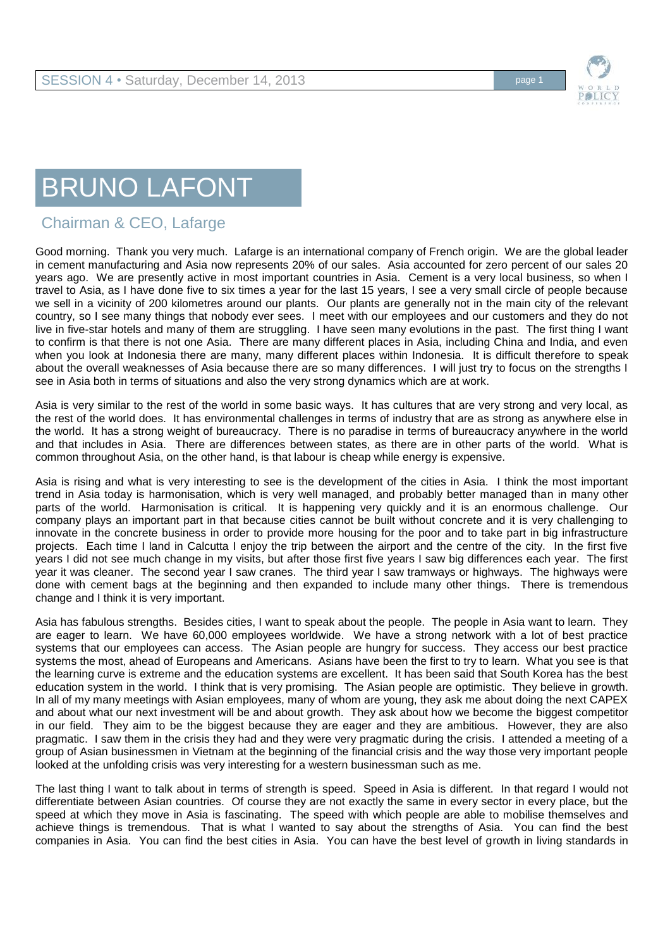

## BRUNO LAFONT

## Chairman & CEO, Lafarge

Good morning. Thank you very much. Lafarge is an international company of French origin. We are the global leader in cement manufacturing and Asia now represents 20% of our sales. Asia accounted for zero percent of our sales 20 years ago. We are presently active in most important countries in Asia. Cement is a very local business, so when I travel to Asia, as I have done five to six times a year for the last 15 years, I see a very small circle of people because we sell in a vicinity of 200 kilometres around our plants. Our plants are generally not in the main city of the relevant country, so I see many things that nobody ever sees. I meet with our employees and our customers and they do not live in five-star hotels and many of them are struggling. I have seen many evolutions in the past. The first thing I want to confirm is that there is not one Asia. There are many different places in Asia, including China and India, and even when you look at Indonesia there are many, many different places within Indonesia. It is difficult therefore to speak about the overall weaknesses of Asia because there are so many differences. I will just try to focus on the strengths I see in Asia both in terms of situations and also the very strong dynamics which are at work.

Asia is very similar to the rest of the world in some basic ways. It has cultures that are very strong and very local, as the rest of the world does. It has environmental challenges in terms of industry that are as strong as anywhere else in the world. It has a strong weight of bureaucracy. There is no paradise in terms of bureaucracy anywhere in the world and that includes in Asia. There are differences between states, as there are in other parts of the world. What is common throughout Asia, on the other hand, is that labour is cheap while energy is expensive.

Asia is rising and what is very interesting to see is the development of the cities in Asia. I think the most important trend in Asia today is harmonisation, which is very well managed, and probably better managed than in many other parts of the world. Harmonisation is critical. It is happening very quickly and it is an enormous challenge. Our company plays an important part in that because cities cannot be built without concrete and it is very challenging to innovate in the concrete business in order to provide more housing for the poor and to take part in big infrastructure projects. Each time I land in Calcutta I enjoy the trip between the airport and the centre of the city. In the first five years I did not see much change in my visits, but after those first five years I saw big differences each year. The first year it was cleaner. The second year I saw cranes. The third year I saw tramways or highways. The highways were done with cement bags at the beginning and then expanded to include many other things. There is tremendous change and I think it is very important.

Asia has fabulous strengths. Besides cities, I want to speak about the people. The people in Asia want to learn. They are eager to learn. We have 60,000 employees worldwide. We have a strong network with a lot of best practice systems that our employees can access. The Asian people are hungry for success. They access our best practice systems the most, ahead of Europeans and Americans. Asians have been the first to try to learn. What you see is that the learning curve is extreme and the education systems are excellent. It has been said that South Korea has the best education system in the world. I think that is very promising. The Asian people are optimistic. They believe in growth. In all of my many meetings with Asian employees, many of whom are young, they ask me about doing the next CAPEX and about what our next investment will be and about growth. They ask about how we become the biggest competitor in our field. They aim to be the biggest because they are eager and they are ambitious. However, they are also pragmatic. I saw them in the crisis they had and they were very pragmatic during the crisis. I attended a meeting of a group of Asian businessmen in Vietnam at the beginning of the financial crisis and the way those very important people looked at the unfolding crisis was very interesting for a western businessman such as me.

The last thing I want to talk about in terms of strength is speed. Speed in Asia is different. In that regard I would not differentiate between Asian countries. Of course they are not exactly the same in every sector in every place, but the speed at which they move in Asia is fascinating. The speed with which people are able to mobilise themselves and achieve things is tremendous. That is what I wanted to say about the strengths of Asia. You can find the best companies in Asia. You can find the best cities in Asia. You can have the best level of growth in living standards in